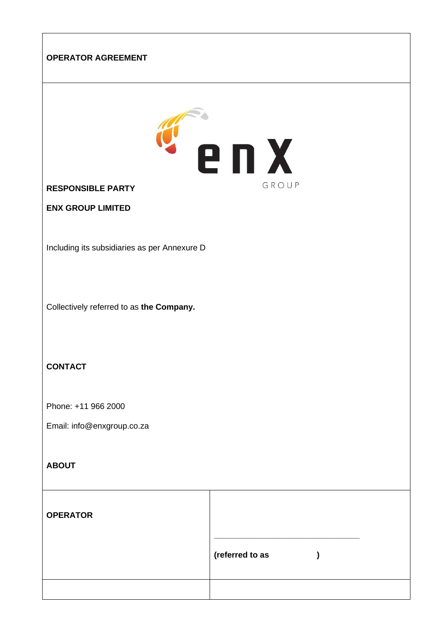# **OPERATOR AGREEMENT**



**RESPONSIBLE PARTY** 

**ENX GROUP LIMITED**

Including its subsidiaries as per Annexure D

Collectively referred to as **the Company.** 

# **CONTACT**

Phone: +11 966 2000

Email: info@enxgroup.co.za

#### **ABOUT**

| <b>OPERATOR</b> |                 |  |
|-----------------|-----------------|--|
|                 | (referred to as |  |
|                 |                 |  |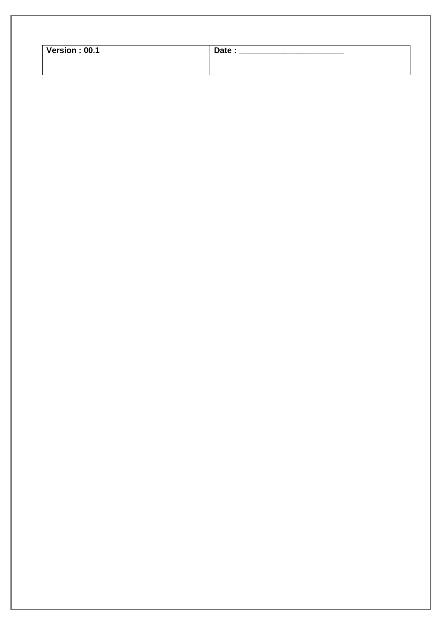| Version: 00.1 | Date: |  |
|---------------|-------|--|
|               |       |  |
|               |       |  |
|               |       |  |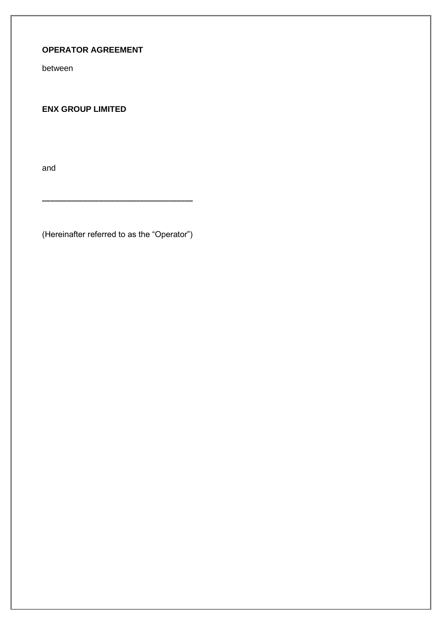# **OPERATOR AGREEMENT**

between

**ENX GROUP LIMITED**

and

(Hereinafter referred to as the "Operator")

**\_\_\_\_\_\_\_\_\_\_\_\_\_\_\_\_\_\_\_\_\_\_\_\_\_\_\_\_\_\_\_\_\_\_\_\_\_**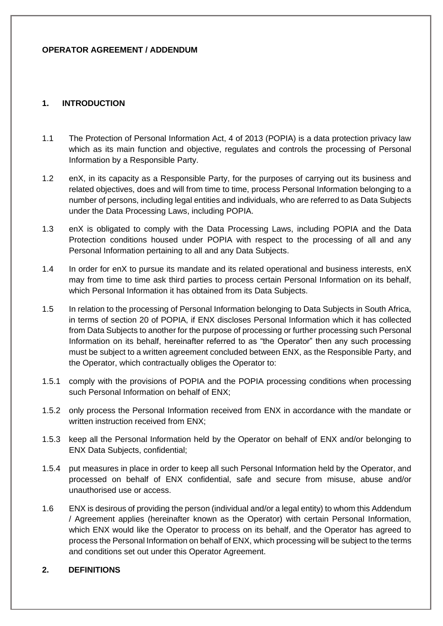#### **OPERATOR AGREEMENT / ADDENDUM**

### **1. INTRODUCTION**

- 1.1 The Protection of Personal Information Act, 4 of 2013 (POPIA) is a data protection privacy law which as its main function and objective, regulates and controls the processing of Personal Information by a Responsible Party.
- 1.2 enX, in its capacity as a Responsible Party, for the purposes of carrying out its business and related objectives, does and will from time to time, process Personal Information belonging to a number of persons, including legal entities and individuals, who are referred to as Data Subjects under the Data Processing Laws, including POPIA.
- 1.3 enX is obligated to comply with the Data Processing Laws, including POPIA and the Data Protection conditions housed under POPIA with respect to the processing of all and any Personal Information pertaining to all and any Data Subjects.
- 1.4 In order for enX to pursue its mandate and its related operational and business interests, enX may from time to time ask third parties to process certain Personal Information on its behalf, which Personal Information it has obtained from its Data Subjects.
- 1.5 In relation to the processing of Personal Information belonging to Data Subjects in South Africa, in terms of section 20 of POPIA, if ENX discloses Personal Information which it has collected from Data Subjects to another for the purpose of processing or further processing such Personal Information on its behalf, hereinafter referred to as "the Operator" then any such processing must be subject to a written agreement concluded between ENX, as the Responsible Party, and the Operator, which contractually obliges the Operator to:
- 1.5.1 comply with the provisions of POPIA and the POPIA processing conditions when processing such Personal Information on behalf of ENX;
- 1.5.2 only process the Personal Information received from ENX in accordance with the mandate or written instruction received from ENX:
- 1.5.3 keep all the Personal Information held by the Operator on behalf of ENX and/or belonging to ENX Data Subjects, confidential;
- 1.5.4 put measures in place in order to keep all such Personal Information held by the Operator, and processed on behalf of ENX confidential, safe and secure from misuse, abuse and/or unauthorised use or access.
- 1.6 ENX is desirous of providing the person (individual and/or a legal entity) to whom this Addendum / Agreement applies (hereinafter known as the Operator) with certain Personal Information, which ENX would like the Operator to process on its behalf, and the Operator has agreed to process the Personal Information on behalf of ENX, which processing will be subject to the terms and conditions set out under this Operator Agreement.

#### **2. DEFINITIONS**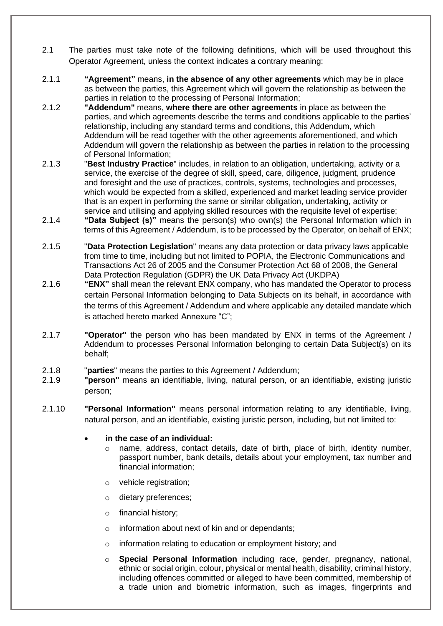- 2.1 The parties must take note of the following definitions, which will be used throughout this Operator Agreement, unless the context indicates a contrary meaning:
- 2.1.1 **"Agreement"** means, **in the absence of any other agreements** which may be in place as between the parties, this Agreement which will govern the relationship as between the parties in relation to the processing of Personal Information;
- 2.1.2 **"Addendum"** means, **where there are other agreements** in place as between the parties, and which agreements describe the terms and conditions applicable to the parties' relationship, including any standard terms and conditions, this Addendum, which Addendum will be read together with the other agreements aforementioned, and which Addendum will govern the relationship as between the parties in relation to the processing of Personal Information;
- 2.1.3 "**Best Industry Practice**" includes, in relation to an obligation, undertaking, activity or a service, the exercise of the degree of skill, speed, care, diligence, judgment, prudence and foresight and the use of practices, controls, systems, technologies and processes, which would be expected from a skilled, experienced and market leading service provider that is an expert in performing the same or similar obligation, undertaking, activity or service and utilising and applying skilled resources with the requisite level of expertise;
- 2.1.4 **"Data Subject (s)"** means the person(s) who own(s) the Personal Information which in terms of this Agreement / Addendum, is to be processed by the Operator, on behalf of ENX;
- 2.1.5 "**Data Protection Legislation**" means any data protection or data privacy laws applicable from time to time, including but not limited to POPIA, the Electronic Communications and Transactions Act 26 of 2005 and the Consumer Protection Act 68 of 2008, the General Data Protection Regulation (GDPR) the UK Data Privacy Act (UKDPA)
- 2.1.6 **"ENX"** shall mean the relevant ENX company, who has mandated the Operator to process certain Personal Information belonging to Data Subjects on its behalf, in accordance with the terms of this Agreement / Addendum and where applicable any detailed mandate which is attached hereto marked Annexure "C";
- 2.1.7 **"Operator"** the person who has been mandated by ENX in terms of the Agreement / Addendum to processes Personal Information belonging to certain Data Subject(s) on its behalf;
- 2.1.8 "**parties**" means the parties to this Agreement / Addendum;
- 2.1.9 **"person"** means an identifiable, living, natural person, or an identifiable, existing juristic person;
- 2.1.10 **"Personal Information"** means personal information relating to any identifiable, living, natural person, and an identifiable, existing juristic person, including, but not limited to:
	- **in the case of an individual:** 
		- $\circ$  name, address, contact details, date of birth, place of birth, identity number, passport number, bank details, details about your employment, tax number and financial information;
		- o vehicle registration;
		- o dietary preferences;
		- o financial history;
		- o information about next of kin and or dependants;
		- o information relating to education or employment history; and
		- o **Special Personal Information** including race, gender, pregnancy, national, ethnic or social origin, colour, physical or mental health, disability, criminal history, including offences committed or alleged to have been committed, membership of a trade union and biometric information, such as images, fingerprints and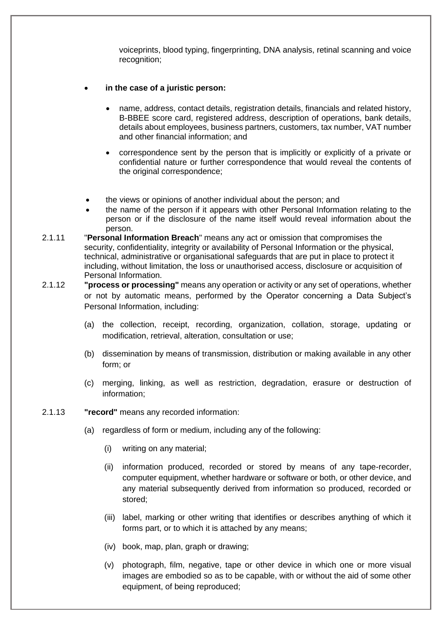voiceprints, blood typing, fingerprinting, DNA analysis, retinal scanning and voice recognition;

- **in the case of a juristic person:**
	- name, address, contact details, registration details, financials and related history, B-BBEE score card, registered address, description of operations, bank details, details about employees, business partners, customers, tax number, VAT number and other financial information; and
	- correspondence sent by the person that is implicitly or explicitly of a private or confidential nature or further correspondence that would reveal the contents of the original correspondence;
- the views or opinions of another individual about the person; and
- the name of the person if it appears with other Personal Information relating to the person or if the disclosure of the name itself would reveal information about the person.
- 2.1.11 "**Personal Information Breach**" means any act or omission that compromises the security, confidentiality, integrity or availability of Personal Information or the physical, technical, administrative or organisational safeguards that are put in place to protect it including, without limitation, the loss or unauthorised access, disclosure or acquisition of Personal Information.
- 2.1.12 **"process or processing"** means any operation or activity or any set of operations, whether or not by automatic means, performed by the Operator concerning a Data Subject's Personal Information, including:
	- (a) the collection, receipt, recording, organization, collation, storage, updating or modification, retrieval, alteration, consultation or use;
	- (b) dissemination by means of transmission, distribution or making available in any other form; or
	- (c) merging, linking, as well as restriction, degradation, erasure or destruction of information;
- 2.1.13 **"record"** means any recorded information:
	- (a) regardless of form or medium, including any of the following:
		- (i) writing on any material;
		- (ii) information produced, recorded or stored by means of any tape-recorder, computer equipment, whether hardware or software or both, or other device, and any material subsequently derived from information so produced, recorded or stored;
		- (iii) label, marking or other writing that identifies or describes anything of which it forms part, or to which it is attached by any means;
		- (iv) book, map, plan, graph or drawing;
		- (v) photograph, film, negative, tape or other device in which one or more visual images are embodied so as to be capable, with or without the aid of some other equipment, of being reproduced;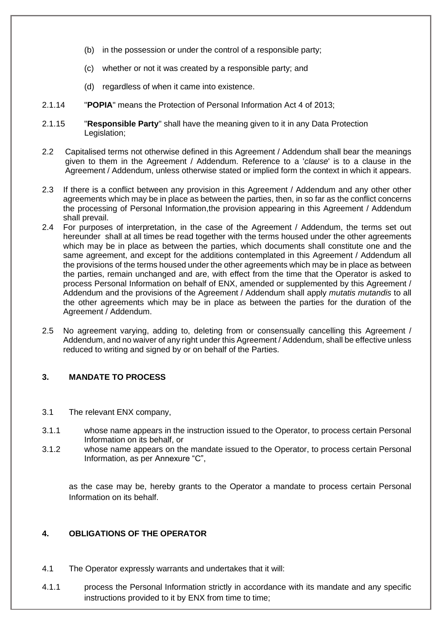- (b) in the possession or under the control of a responsible party;
- (c) whether or not it was created by a responsible party; and
- (d) regardless of when it came into existence.
- 2.1.14 "**POPIA**" means the Protection of Personal Information Act 4 of 2013;
- 2.1.15 "**Responsible Party**" shall have the meaning given to it in any Data Protection Legislation;
- 2.2 Capitalised terms not otherwise defined in this Agreement / Addendum shall bear the meanings given to them in the Agreement / Addendum. Reference to a '*clause*' is to a clause in the Agreement / Addendum, unless otherwise stated or implied form the context in which it appears.
- 2.3 If there is a conflict between any provision in this Agreement / Addendum and any other other agreements which may be in place as between the parties, then, in so far as the conflict concerns the processing of Personal Information,the provision appearing in this Agreement / Addendum shall prevail.
- 2.4 For purposes of interpretation, in the case of the Agreement / Addendum, the terms set out hereunder shall at all times be read together with the terms housed under the other agreements which may be in place as between the parties, which documents shall constitute one and the same agreement, and except for the additions contemplated in this Agreement / Addendum all the provisions of the terms housed under the other agreements which may be in place as between the parties, remain unchanged and are, with effect from the time that the Operator is asked to process Personal Information on behalf of ENX, amended or supplemented by this Agreement / Addendum and the provisions of the Agreement / Addendum shall apply *mutatis mutandis* to all the other agreements which may be in place as between the parties for the duration of the Agreement / Addendum.
- 2.5 No agreement varying, adding to, deleting from or consensually cancelling this Agreement / Addendum, and no waiver of any right under this Agreement / Addendum, shall be effective unless reduced to writing and signed by or on behalf of the Parties.

# **3. MANDATE TO PROCESS**

- 3.1 The relevant ENX company,
- 3.1.1 whose name appears in the instruction issued to the Operator, to process certain Personal Information on its behalf, or
- 3.1.2 whose name appears on the mandate issued to the Operator, to process certain Personal Information, as per Annexure "C",

as the case may be, hereby grants to the Operator a mandate to process certain Personal Information on its behalf.

### **4. OBLIGATIONS OF THE OPERATOR**

- 4.1 The Operator expressly warrants and undertakes that it will:
- 4.1.1 process the Personal Information strictly in accordance with its mandate and any specific instructions provided to it by ENX from time to time;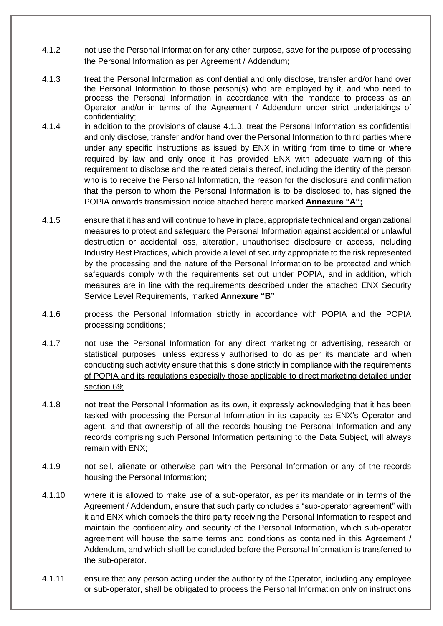- 4.1.2 not use the Personal Information for any other purpose, save for the purpose of processing the Personal Information as per Agreement / Addendum;
- 4.1.3 treat the Personal Information as confidential and only disclose, transfer and/or hand over the Personal Information to those person(s) who are employed by it, and who need to process the Personal Information in accordance with the mandate to process as an Operator and/or in terms of the Agreement / Addendum under strict undertakings of confidentiality;
- 4.1.4 in addition to the provisions of clause 4.1.3, treat the Personal Information as confidential and only disclose, transfer and/or hand over the Personal Information to third parties where under any specific instructions as issued by ENX in writing from time to time or where required by law and only once it has provided ENX with adequate warning of this requirement to disclose and the related details thereof, including the identity of the person who is to receive the Personal Information, the reason for the disclosure and confirmation that the person to whom the Personal Information is to be disclosed to, has signed the POPIA onwards transmission notice attached hereto marked **Annexure "A";**
- 4.1.5 ensure that it has and will continue to have in place, appropriate technical and organizational measures to protect and safeguard the Personal Information against accidental or unlawful destruction or accidental loss, alteration, unauthorised disclosure or access, including Industry Best Practices, which provide a level of security appropriate to the risk represented by the processing and the nature of the Personal Information to be protected and which safeguards comply with the requirements set out under POPIA, and in addition, which measures are in line with the requirements described under the attached ENX Security Service Level Requirements, marked **Annexure "B"**;
- 4.1.6 process the Personal Information strictly in accordance with POPIA and the POPIA processing conditions;
- 4.1.7 not use the Personal Information for any direct marketing or advertising, research or statistical purposes, unless expressly authorised to do as per its mandate and when conducting such activity ensure that this is done strictly in compliance with the requirements of POPIA and its regulations especially those applicable to direct marketing detailed under section 69;
- 4.1.8 not treat the Personal Information as its own, it expressly acknowledging that it has been tasked with processing the Personal Information in its capacity as ENX's Operator and agent, and that ownership of all the records housing the Personal Information and any records comprising such Personal Information pertaining to the Data Subject, will always remain with ENX;
- 4.1.9 not sell, alienate or otherwise part with the Personal Information or any of the records housing the Personal Information;
- 4.1.10 where it is allowed to make use of a sub-operator, as per its mandate or in terms of the Agreement / Addendum, ensure that such party concludes a "sub-operator agreement" with it and ENX which compels the third party receiving the Personal Information to respect and maintain the confidentiality and security of the Personal Information, which sub-operator agreement will house the same terms and conditions as contained in this Agreement / Addendum, and which shall be concluded before the Personal Information is transferred to the sub-operator.
- 4.1.11 ensure that any person acting under the authority of the Operator, including any employee or sub-operator, shall be obligated to process the Personal Information only on instructions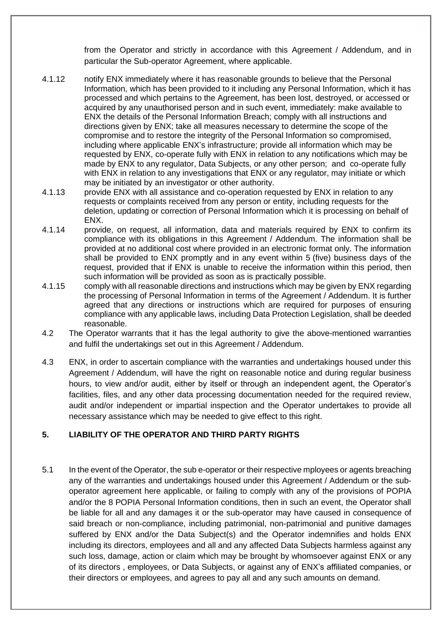from the Operator and strictly in accordance with this Agreement / Addendum, and in particular the Sub-operator Agreement, where applicable.

- 4.1.12 notify ENX immediately where it has reasonable grounds to believe that the Personal Information, which has been provided to it including any Personal Information, which it has processed and which pertains to the Agreement, has been lost, destroyed, or accessed or acquired by any unauthorised person and in such event, immediately: make available to ENX the details of the Personal Information Breach; comply with all instructions and directions given by ENX; take all measures necessary to determine the scope of the compromise and to restore the integrity of the Personal Information so compromised, including where applicable ENX's infrastructure; provide all information which may be requested by ENX, co-operate fully with ENX in relation to any notifications which may be made by ENX to any regulator, Data Subjects, or any other person; and co-operate fully with ENX in relation to any investigations that ENX or any regulator, may initiate or which may be initiated by an investigator or other authority.
- 4.1.13 provide ENX with all assistance and co-operation requested by ENX in relation to any requests or complaints received from any person or entity, including requests for the deletion, updating or correction of Personal Information which it is processing on behalf of ENX.
- 4.1.14 provide, on request, all information, data and materials required by ENX to confirm its compliance with its obligations in this Agreement / Addendum. The information shall be provided at no additional cost where provided in an electronic format only. The information shall be provided to ENX promptly and in any event within 5 (five) business days of the request, provided that if ENX is unable to receive the information within this period, then such information will be provided as soon as is practically possible.
- 4.1.15 comply with all reasonable directions and instructions which may be given by ENX regarding the processing of Personal Information in terms of the Agreement / Addendum. It is further agreed that any directions or instructions which are required for purposes of ensuring compliance with any applicable laws, including Data Protection Legislation, shall be deeded reasonable.
- 4.2 The Operator warrants that it has the legal authority to give the above-mentioned warranties and fulfil the undertakings set out in this Agreement / Addendum.
- 4.3 ENX, in order to ascertain compliance with the warranties and undertakings housed under this Agreement / Addendum, will have the right on reasonable notice and during regular business hours, to view and/or audit, either by itself or through an independent agent, the Operator's facilities, files, and any other data processing documentation needed for the required review, audit and/or independent or impartial inspection and the Operator undertakes to provide all necessary assistance which may be needed to give effect to this right.

# **5. LIABILITY OF THE OPERATOR AND THIRD PARTY RIGHTS**

5.1 In the event of the Operator, the sub e-operator or their respective mployees or agents breaching any of the warranties and undertakings housed under this Agreement / Addendum or the suboperator agreement here applicable, or failing to comply with any of the provisions of POPIA and/or the 8 POPIA Personal Information conditions, then in such an event, the Operator shall be liable for all and any damages it or the sub-operator may have caused in consequence of said breach or non-compliance, including patrimonial, non-patrimonial and punitive damages suffered by ENX and/or the Data Subject(s) and the Operator indemnifies and holds ENX including its directors, employees and all and any affected Data Subjects harmless against any such loss, damage, action or claim which may be brought by whomsoever against ENX or any of its directors , employees, or Data Subjects, or against any of ENX's affiliated companies, or their directors or employees, and agrees to pay all and any such amounts on demand.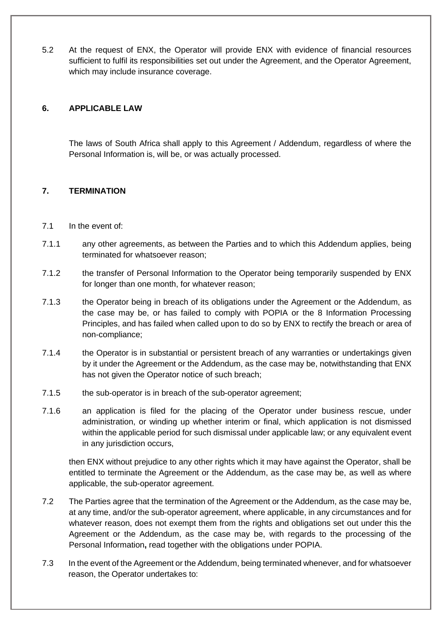5.2 At the request of ENX, the Operator will provide ENX with evidence of financial resources sufficient to fulfil its responsibilities set out under the Agreement, and the Operator Agreement, which may include insurance coverage.

#### **6. APPLICABLE LAW**

The laws of South Africa shall apply to this Agreement / Addendum, regardless of where the Personal Information is, will be, or was actually processed.

### **7. TERMINATION**

- 7.1 In the event of:
- 7.1.1 any other agreements, as between the Parties and to which this Addendum applies, being terminated for whatsoever reason;
- 7.1.2 the transfer of Personal Information to the Operator being temporarily suspended by ENX for longer than one month, for whatever reason;
- 7.1.3 the Operator being in breach of its obligations under the Agreement or the Addendum, as the case may be, or has failed to comply with POPIA or the 8 Information Processing Principles, and has failed when called upon to do so by ENX to rectify the breach or area of non-compliance;
- 7.1.4 the Operator is in substantial or persistent breach of any warranties or undertakings given by it under the Agreement or the Addendum, as the case may be, notwithstanding that ENX has not given the Operator notice of such breach;
- 7.1.5 the sub-operator is in breach of the sub-operator agreement;
- 7.1.6 an application is filed for the placing of the Operator under business rescue, under administration, or winding up whether interim or final, which application is not dismissed within the applicable period for such dismissal under applicable law; or any equivalent event in any jurisdiction occurs,

then ENX without prejudice to any other rights which it may have against the Operator, shall be entitled to terminate the Agreement or the Addendum, as the case may be, as well as where applicable, the sub-operator agreement.

- 7.2 The Parties agree that the termination of the Agreement or the Addendum, as the case may be, at any time, and/or the sub-operator agreement, where applicable, in any circumstances and for whatever reason, does not exempt them from the rights and obligations set out under this the Agreement or the Addendum, as the case may be, with regards to the processing of the Personal Information**,** read together with the obligations under POPIA.
- 7.3 In the event of the Agreement or the Addendum, being terminated whenever, and for whatsoever reason, the Operator undertakes to: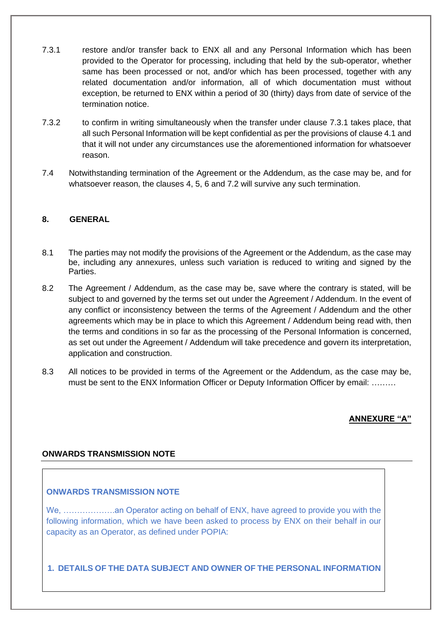- 7.3.1 restore and/or transfer back to ENX all and any Personal Information which has been provided to the Operator for processing, including that held by the sub-operator, whether same has been processed or not, and/or which has been processed, together with any related documentation and/or information, all of which documentation must without exception, be returned to ENX within a period of 30 (thirty) days from date of service of the termination notice.
- 7.3.2 to confirm in writing simultaneously when the transfer under clause 7.3.1 takes place, that all such Personal Information will be kept confidential as per the provisions of clause 4.1 and that it will not under any circumstances use the aforementioned information for whatsoever reason.
- 7.4 Notwithstanding termination of the Agreement or the Addendum, as the case may be, and for whatsoever reason, the clauses 4, 5, 6 and 7.2 will survive any such termination.

### **8. GENERAL**

- 8.1 The parties may not modify the provisions of the Agreement or the Addendum, as the case may be, including any annexures, unless such variation is reduced to writing and signed by the Parties.
- 8.2 The Agreement / Addendum, as the case may be, save where the contrary is stated, will be subject to and governed by the terms set out under the Agreement / Addendum. In the event of any conflict or inconsistency between the terms of the Agreement / Addendum and the other agreements which may be in place to which this Agreement / Addendum being read with, then the terms and conditions in so far as the processing of the Personal Information is concerned, as set out under the Agreement / Addendum will take precedence and govern its interpretation, application and construction.
- 8.3 All notices to be provided in terms of the Agreement or the Addendum, as the case may be, must be sent to the ENX Information Officer or Deputy Information Officer by email: ………

**ANNEXURE "A"**

#### **ONWARDS TRANSMISSION NOTE**

#### **ONWARDS TRANSMISSION NOTE**

We, ……………….an Operator acting on behalf of ENX, have agreed to provide you with the following information, which we have been asked to process by ENX on their behalf in our capacity as an Operator, as defined under POPIA:

**1. DETAILS OF THE DATA SUBJECT AND OWNER OF THE PERSONAL INFORMATION**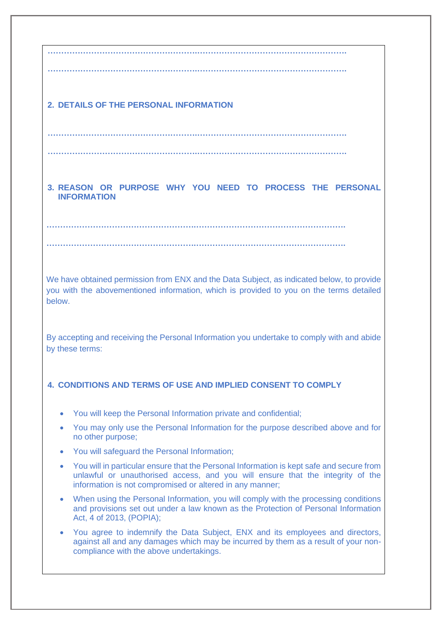**……………………………………………….………………………………………………. ……………………………………………….……………………………………………….**

**……………………………………………….……………………………………………….**

**3. REASON OR PURPOSE WHY YOU NEED TO PROCESS THE PERSONAL INFORMATION**

**……………………………………………….……………………………………………….**

**……………………………………………….………………………………………………. ……………………………………………….……………………………………………….**

We have obtained permission from ENX and the Data Subject, as indicated below, to provide you with the abovementioned information, which is provided to you on the terms detailed below.

By accepting and receiving the Personal Information you undertake to comply with and abide by these terms:

# **4. CONDITIONS AND TERMS OF USE AND IMPLIED CONSENT TO COMPLY**

- You will keep the Personal Information private and confidential;
- You may only use the Personal Information for the purpose described above and for no other purpose;
- You will safeguard the Personal Information;
- You will in particular ensure that the Personal Information is kept safe and secure from unlawful or unauthorised access, and you will ensure that the integrity of the information is not compromised or altered in any manner;
- When using the Personal Information, you will comply with the processing conditions and provisions set out under a law known as the Protection of Personal Information Act, 4 of 2013, (POPIA);
- You agree to indemnify the Data Subject, ENX and its employees and directors, against all and any damages which may be incurred by them as a result of your noncompliance with the above undertakings.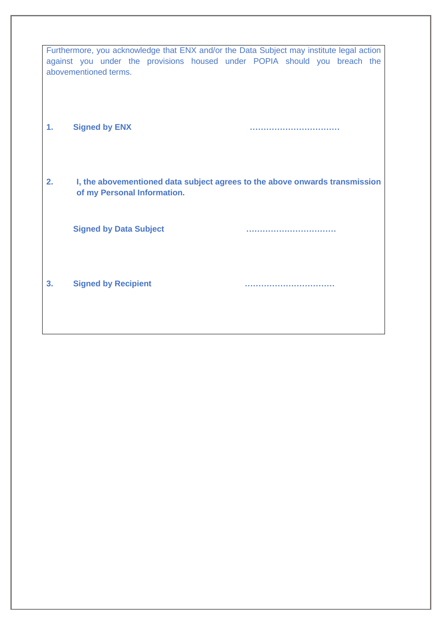|    |                               | Furthermore, you acknowledge that ENX and/or the Data Subject may institute legal action |
|----|-------------------------------|------------------------------------------------------------------------------------------|
|    |                               | against you under the provisions housed under POPIA should you breach the                |
|    | abovementioned terms.         |                                                                                          |
|    |                               |                                                                                          |
|    |                               |                                                                                          |
| 1. | <b>Signed by ENX</b>          |                                                                                          |
|    |                               |                                                                                          |
|    |                               |                                                                                          |
|    |                               |                                                                                          |
| 2. | of my Personal Information.   | I, the abovementioned data subject agrees to the above onwards transmission              |
|    |                               |                                                                                          |
|    |                               |                                                                                          |
|    | <b>Signed by Data Subject</b> |                                                                                          |
|    |                               |                                                                                          |
|    |                               |                                                                                          |
| 3. | <b>Signed by Recipient</b>    |                                                                                          |
|    |                               |                                                                                          |
|    |                               |                                                                                          |
|    |                               |                                                                                          |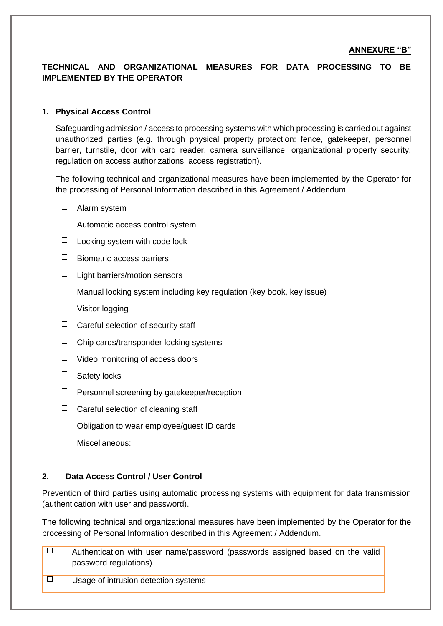# **TECHNICAL AND ORGANIZATIONAL MEASURES FOR DATA PROCESSING TO BE IMPLEMENTED BY THE OPERATOR**

#### **1. Physical Access Control**

Safeguarding admission / access to processing systems with which processing is carried out against unauthorized parties (e.g. through physical property protection: fence, gatekeeper, personnel barrier, turnstile, door with card reader, camera surveillance, organizational property security, regulation on access authorizations, access registration).

The following technical and organizational measures have been implemented by the Operator for the processing of Personal Information described in this Agreement / Addendum:

- □ Alarm system
- $\Box$  Automatic access control system
- $\Box$  Locking system with code lock
- $\Box$  Biometric access barriers
- $\Box$  Light barriers/motion sensors
- $\Box$  Manual locking system including key regulation (key book, key issue)
- $\Box$  Visitor logging
- $\Box$  Careful selection of security staff
- $\Box$  Chip cards/transponder locking systems
- $\Box$  Video monitoring of access doors
- $\Box$  Safety locks
- $\Box$  Personnel screening by gatekeeper/reception
- $\Box$  Careful selection of cleaning staff
- $\Box$  Obligation to wear employee/guest ID cards
- Miscellaneous:

#### **2. Data Access Control / User Control**

Prevention of third parties using automatic processing systems with equipment for data transmission (authentication with user and password).

The following technical and organizational measures have been implemented by the Operator for the processing of Personal Information described in this Agreement / Addendum.

| Authentication with user name/password (passwords assigned based on the valid<br>password regulations) |
|--------------------------------------------------------------------------------------------------------|
| Usage of intrusion detection systems                                                                   |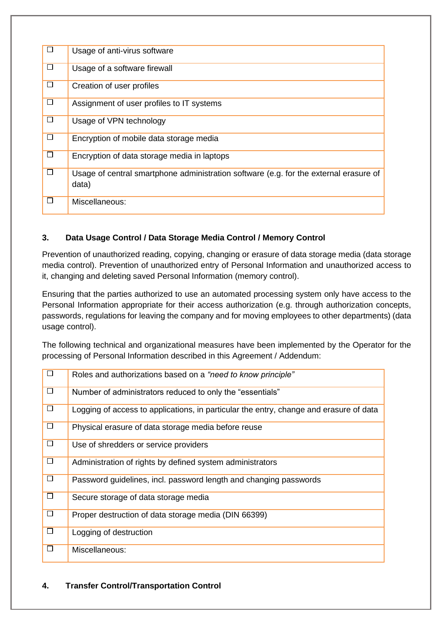| □      | Usage of anti-virus software                                                                   |
|--------|------------------------------------------------------------------------------------------------|
| □      | Usage of a software firewall                                                                   |
| □      | Creation of user profiles                                                                      |
| $\Box$ | Assignment of user profiles to IT systems                                                      |
| $\Box$ | Usage of VPN technology                                                                        |
| □      | Encryption of mobile data storage media                                                        |
| □      | Encryption of data storage media in laptops                                                    |
| □      | Usage of central smartphone administration software (e.g. for the external erasure of<br>data) |
| $\Box$ | Miscellaneous:                                                                                 |

# **3. Data Usage Control / Data Storage Media Control / Memory Control**

Prevention of unauthorized reading, copying, changing or erasure of data storage media (data storage media control). Prevention of unauthorized entry of Personal Information and unauthorized access to it, changing and deleting saved Personal Information (memory control).

Ensuring that the parties authorized to use an automated processing system only have access to the Personal Information appropriate for their access authorization (e.g. through authorization concepts, passwords, regulations for leaving the company and for moving employees to other departments) (data usage control).

The following technical and organizational measures have been implemented by the Operator for the processing of Personal Information described in this Agreement / Addendum:

| $\overline{\Box}$ | Roles and authorizations based on a "need to know principle"                           |
|-------------------|----------------------------------------------------------------------------------------|
| $\overline{\Box}$ | Number of administrators reduced to only the "essentials"                              |
| $\overline{\Box}$ | Logging of access to applications, in particular the entry, change and erasure of data |
| $\Box$            | Physical erasure of data storage media before reuse                                    |
| $\overline{\Box}$ | Use of shredders or service providers                                                  |
| $\Box$            | Administration of rights by defined system administrators                              |
| $\Box$            | Password guidelines, incl. password length and changing passwords                      |
| $\overline{\Box}$ | Secure storage of data storage media                                                   |
| $\Box$            | Proper destruction of data storage media (DIN 66399)                                   |
| $\Box$            | Logging of destruction                                                                 |
| □                 | Miscellaneous:                                                                         |

# **4. Transfer Control/Transportation Control**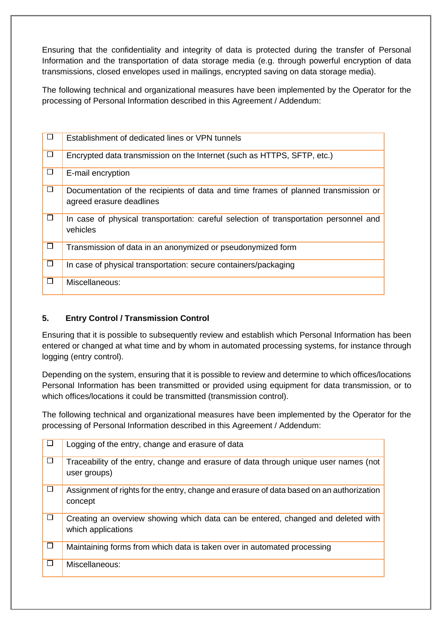Ensuring that the confidentiality and integrity of data is protected during the transfer of Personal Information and the transportation of data storage media (e.g. through powerful encryption of data transmissions, closed envelopes used in mailings, encrypted saving on data storage media).

The following technical and organizational measures have been implemented by the Operator for the processing of Personal Information described in this Agreement / Addendum:

|              | Establishment of dedicated lines or VPN tunnels                                                                |
|--------------|----------------------------------------------------------------------------------------------------------------|
| $\mathbf{I}$ | Encrypted data transmission on the Internet (such as HTTPS, SFTP, etc.)                                        |
| $\Box$       | E-mail encryption                                                                                              |
| ப            | Documentation of the recipients of data and time frames of planned transmission or<br>agreed erasure deadlines |
| $\Box$       | In case of physical transportation: careful selection of transportation personnel and<br>vehicles              |
| □            | Transmission of data in an anonymized or pseudonymized form                                                    |
| $\Box$       | In case of physical transportation: secure containers/packaging                                                |
| $\mathbf{I}$ | Miscellaneous:                                                                                                 |

# **5. Entry Control / Transmission Control**

Ensuring that it is possible to subsequently review and establish which Personal Information has been entered or changed at what time and by whom in automated processing systems, for instance through logging (entry control).

Depending on the system, ensuring that it is possible to review and determine to which offices/locations Personal Information has been transmitted or provided using equipment for data transmission, or to which offices/locations it could be transmitted (transmission control).

The following technical and organizational measures have been implemented by the Operator for the processing of Personal Information described in this Agreement / Addendum:

| $\Box$ | Logging of the entry, change and erasure of data                                                       |
|--------|--------------------------------------------------------------------------------------------------------|
| $\Box$ | Traceability of the entry, change and erasure of data through unique user names (not<br>user groups)   |
| □      | Assignment of rights for the entry, change and erasure of data based on an authorization<br>concept    |
| □      | Creating an overview showing which data can be entered, changed and deleted with<br>which applications |
| $\Box$ | Maintaining forms from which data is taken over in automated processing                                |
| □      | Miscellaneous:                                                                                         |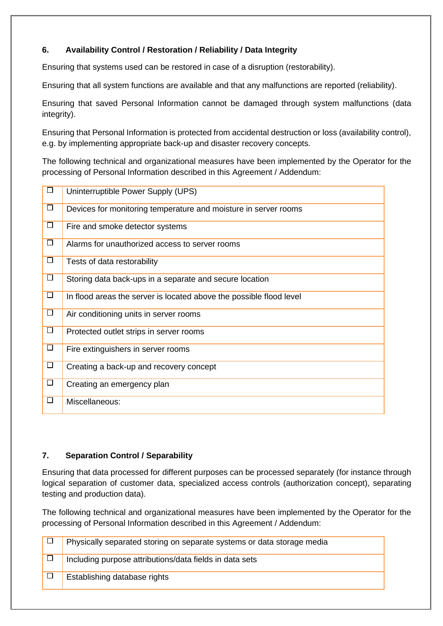# **6. Availability Control / Restoration / Reliability / Data Integrity**

Ensuring that systems used can be restored in case of a disruption (restorability).

Ensuring that all system functions are available and that any malfunctions are reported (reliability).

Ensuring that saved Personal Information cannot be damaged through system malfunctions (data integrity).

Ensuring that Personal Information is protected from accidental destruction or loss (availability control), e.g. by implementing appropriate back-up and disaster recovery concepts.

The following technical and organizational measures have been implemented by the Operator for the processing of Personal Information described in this Agreement / Addendum:

| $\Box$ | Uninterruptible Power Supply (UPS)                                  |
|--------|---------------------------------------------------------------------|
| □      | Devices for monitoring temperature and moisture in server rooms     |
| $\Box$ | Fire and smoke detector systems                                     |
| $\Box$ | Alarms for unauthorized access to server rooms                      |
| $\Box$ | Tests of data restorability                                         |
| $\Box$ | Storing data back-ups in a separate and secure location             |
| $\Box$ | In flood areas the server is located above the possible flood level |
| $\Box$ | Air conditioning units in server rooms                              |
| □      | Protected outlet strips in server rooms                             |
| $\Box$ | Fire extinguishers in server rooms                                  |
| □      | Creating a back-up and recovery concept                             |
| $\Box$ | Creating an emergency plan                                          |
| П      | Miscellaneous:                                                      |

# **7. Separation Control / Separability**

Ensuring that data processed for different purposes can be processed separately (for instance through logical separation of customer data, specialized access controls (authorization concept), separating testing and production data).

The following technical and organizational measures have been implemented by the Operator for the processing of Personal Information described in this Agreement / Addendum:

| Physically separated storing on separate systems or data storage media |
|------------------------------------------------------------------------|
| Including purpose attributions/data fields in data sets                |
| Establishing database rights                                           |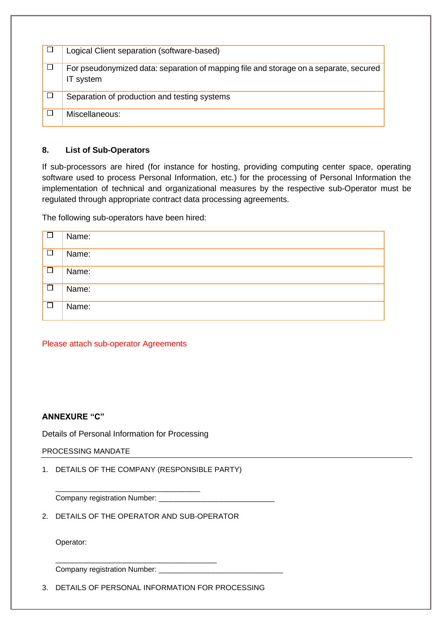| □      | Logical Client separation (software-based)                                                         |
|--------|----------------------------------------------------------------------------------------------------|
| $\Box$ | For pseudonymized data: separation of mapping file and storage on a separate, secured<br>IT system |
| □      | Separation of production and testing systems                                                       |
|        | Miscellaneous:                                                                                     |

### **8. List of Sub-Operators**

If sub-processors are hired (for instance for hosting, providing computing center space, operating software used to process Personal Information, etc.) for the processing of Personal Information the implementation of technical and organizational measures by the respective sub-Operator must be regulated through appropriate contract data processing agreements.

The following sub-operators have been hired:

| $\Box$            | Name: |
|-------------------|-------|
| $\Box$            | Name: |
| $\overline{\Box}$ | Name: |
| $\Box$            | Name: |
| $\Box$            | Name: |

# Please attach sub-operator Agreements

#### **ANNEXURE "C"**

Details of Personal Information for Processing

\_\_\_\_\_\_\_\_\_\_\_\_\_\_\_\_\_\_\_\_\_\_\_\_\_\_\_\_\_\_\_\_\_\_\_

#### PROCESSING MANDATE

1. DETAILS OF THE COMPANY (RESPONSIBLE PARTY)

Company registration Number: \_\_\_\_\_\_\_\_\_\_

2. DETAILS OF THE OPERATOR AND SUB-OPERATOR

\_\_\_\_\_\_\_\_\_\_\_\_\_\_\_\_\_\_\_\_\_\_\_\_\_\_\_\_\_\_\_\_\_\_\_\_\_\_\_

Operator:

Company registration Number: \_\_\_\_\_\_\_\_\_\_\_\_\_\_\_\_\_\_\_\_\_\_\_\_\_\_\_\_\_\_

3. DETAILS OF PERSONAL INFORMATION FOR PROCESSING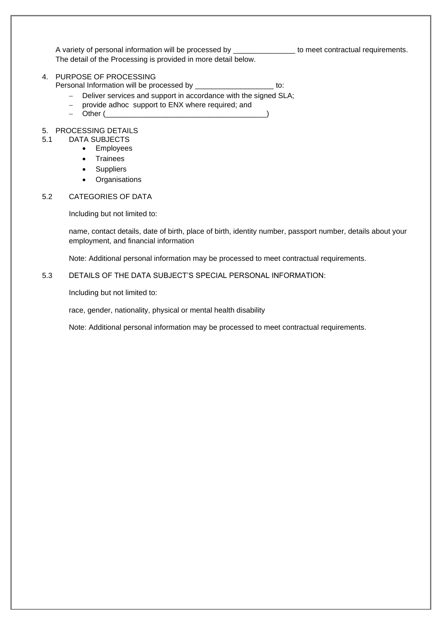A variety of personal information will be processed by \_\_\_\_\_\_\_\_\_\_\_\_\_\_\_\_\_ to meet contractual requirements. The detail of the Processing is provided in more detail below.

#### 4. PURPOSE OF PROCESSING

Personal Information will be processed by \_\_\_\_\_\_\_\_\_\_\_\_\_\_\_\_\_\_\_\_\_\_\_ to:

- − Deliver services and support in accordance with the signed SLA;
- − provide adhoc support to ENX where required; and
- $-$  Other ( $\_$

#### 5. PROCESSING DETAILS

- 5.1 DATA SUBJECTS
	- Employees
	- Trainees
	- Suppliers
	- Organisations

#### 5.2 CATEGORIES OF DATA

Including but not limited to:

name, contact details, date of birth, place of birth, identity number, passport number, details about your employment, and financial information

Note: Additional personal information may be processed to meet contractual requirements.

#### 5.3 DETAILS OF THE DATA SUBJECT'S SPECIAL PERSONAL INFORMATION:

Including but not limited to:

race, gender, nationality, physical or mental health disability

Note: Additional personal information may be processed to meet contractual requirements.